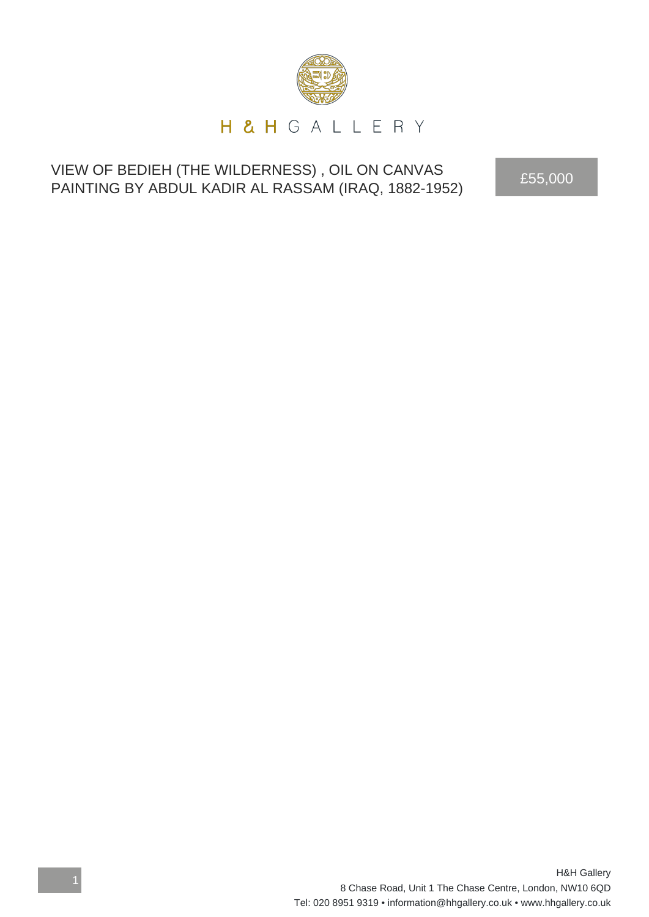

## VIEW OF BEDIEH (THE WILDERNESS) , OIL ON CANVAS VIEW OF BEDIEH (THE WILDERNESS), OIL ON CANVAS<br>PAINTING BY ABDUL KADIR AL RASSAM (IRAQ, 1882-1952)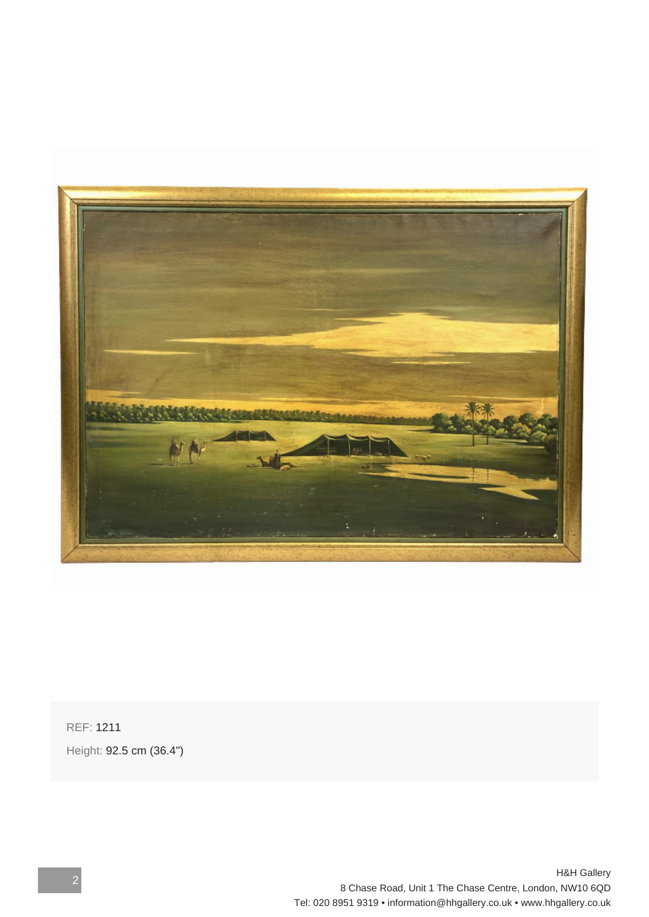

REF: 1211 Height: 92.5 cm (36.4")